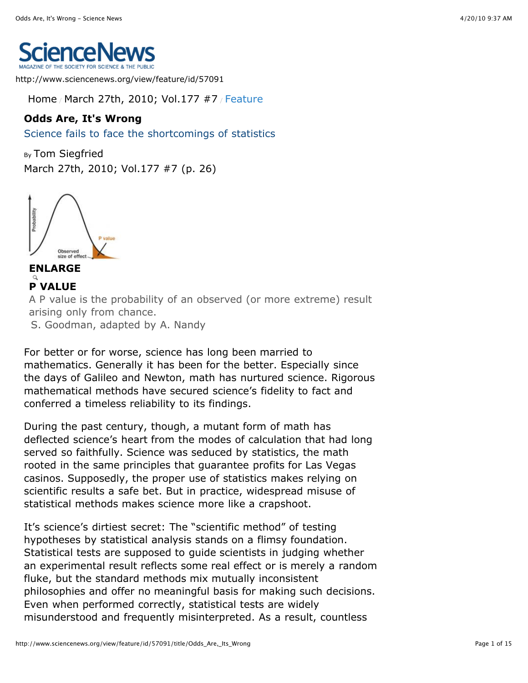

http://www.sciencenews.org/view/feature/id/57091

[Home](http://www.sciencenews.org/view/home) / [March 27th, 2010; Vol.177 #7](http://www.sciencenews.org/view/issue/id/57211/title/March_27th%2C_2010%3B_Vol.177_%237) / Feature

# **Odds Are, It's Wrong**

Science fails to face the shortcomings of statistics

By [Tom Siegfried](http://www.sciencenews.org/view/authored/id/76/name/Tom_Siegfried) [March 27th, 2010; Vol.177 #7](http://www.sciencenews.org/view/issue/id/57211/title/March_27th%2C_2010%3B_Vol.177_%237) (p. 26)



A P value is the probability of an observed (or more extreme) result arising only from chance. S. Goodman, adapted by A. Nandy **[ENLARGE](http://www.sciencenews.org/view/access/id/57253/title/feat_statistics_pvalue_chart.jpg) P VALUE**

For better or for worse, science has long been married to mathematics. Generally it has been for the better. Especially since the days of Galileo and Newton, math has nurtured science. Rigorous mathematical methods have secured science's fidelity to fact and conferred a timeless reliability to its findings.

During the past century, though, a mutant form of math has deflected science's heart from the modes of calculation that had long served so faithfully. Science was seduced by statistics, the math rooted in the same principles that guarantee profits for Las Vegas casinos. Supposedly, the proper use of statistics makes relying on scientific results a safe bet. But in practice, widespread misuse of statistical methods makes science more like a crapshoot.

It's science's dirtiest secret: The "scientific method" of testing hypotheses by statistical analysis stands on a flimsy foundation. Statistical tests are supposed to guide scientists in judging whether an experimental result reflects some real effect or is merely a random fluke, but the standard methods mix mutually inconsistent philosophies and offer no meaningful basis for making such decisions. Even when performed correctly, statistical tests are widely misunderstood and frequently misinterpreted. As a result, countless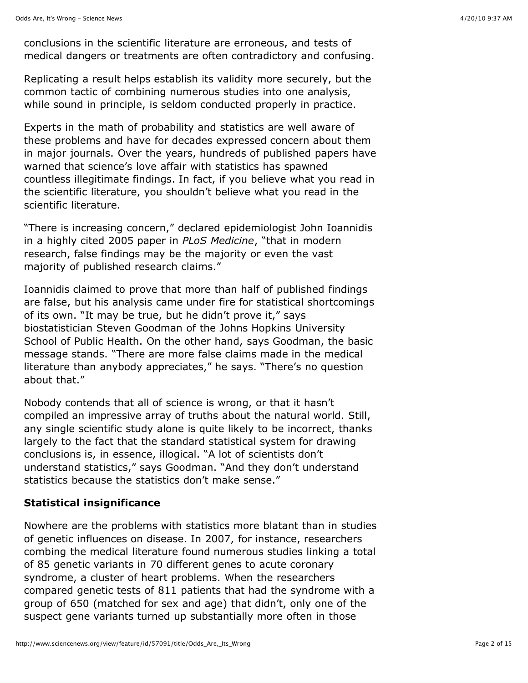conclusions in the scientific literature are erroneous, and tests of medical dangers or treatments are often contradictory and confusing.

Replicating a result helps establish its validity more securely, but the common tactic of combining numerous studies into one analysis, while sound in principle, is seldom conducted properly in practice.

Experts in the math of probability and statistics are well aware of these problems and have for decades expressed concern about them in major journals. Over the years, hundreds of published papers have warned that science's love affair with statistics has spawned countless illegitimate findings. In fact, if you believe what you read in the scientific literature, you shouldn't believe what you read in the scientific literature.

"There is increasing concern," declared epidemiologist John Ioannidis in a highly cited 2005 paper in *PLoS Medicine*, "that in modern research, false findings may be the majority or even the vast majority of published research claims."

Ioannidis claimed to prove that more than half of published findings are false, but his analysis came under fire for statistical shortcomings of its own. "It may be true, but he didn't prove it," says biostatistician Steven Goodman of the Johns Hopkins University School of Public Health. On the other hand, says Goodman, the basic message stands. "There are more false claims made in the medical literature than anybody appreciates," he says. "There's no question about that."

Nobody contends that all of science is wrong, or that it hasn't compiled an impressive array of truths about the natural world. Still, any single scientific study alone is quite likely to be incorrect, thanks largely to the fact that the standard statistical system for drawing conclusions is, in essence, illogical. "A lot of scientists don't understand statistics," says Goodman. "And they don't understand statistics because the statistics don't make sense."

## **Statistical insignificance**

Nowhere are the problems with statistics more blatant than in studies of genetic influences on disease. In 2007, for instance, researchers combing the medical literature found numerous studies linking a total of 85 genetic variants in 70 different genes to acute coronary syndrome, a cluster of heart problems. When the researchers compared genetic tests of 811 patients that had the syndrome with a group of 650 (matched for sex and age) that didn't, only one of the suspect gene variants turned up substantially more often in those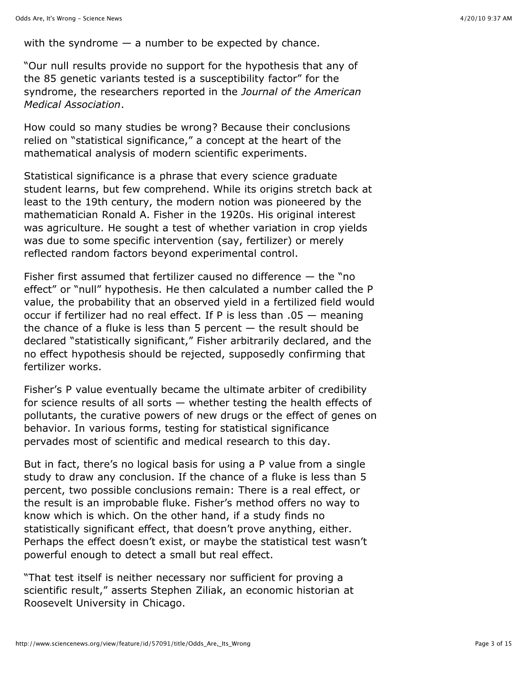with the syndrome  $-$  a number to be expected by chance.

"Our null results provide no support for the hypothesis that any of the 85 genetic variants tested is a susceptibility factor" for the syndrome, the researchers reported in the *Journal of the American Medical Association*.

How could so many studies be wrong? Because their conclusions relied on "statistical significance," a concept at the heart of the mathematical analysis of modern scientific experiments.

Statistical significance is a phrase that every science graduate student learns, but few comprehend. While its origins stretch back at least to the 19th century, the modern notion was pioneered by the mathematician Ronald A. Fisher in the 1920s. His original interest was agriculture. He sought a test of whether variation in crop yields was due to some specific intervention (say, fertilizer) or merely reflected random factors beyond experimental control.

Fisher first assumed that fertilizer caused no difference  $-$  the "no effect" or "null" hypothesis. He then calculated a number called the P value, the probability that an observed yield in a fertilized field would occur if fertilizer had no real effect. If P is less than .05 — meaning the chance of a fluke is less than 5 percent  $-$  the result should be declared "statistically significant," Fisher arbitrarily declared, and the no effect hypothesis should be rejected, supposedly confirming that fertilizer works.

Fisher's P value eventually became the ultimate arbiter of credibility for science results of all sorts — whether testing the health effects of pollutants, the curative powers of new drugs or the effect of genes on behavior. In various forms, testing for statistical significance pervades most of scientific and medical research to this day.

But in fact, there's no logical basis for using a P value from a single study to draw any conclusion. If the chance of a fluke is less than 5 percent, two possible conclusions remain: There is a real effect, or the result is an improbable fluke. Fisher's method offers no way to know which is which. On the other hand, if a study finds no statistically significant effect, that doesn't prove anything, either. Perhaps the effect doesn't exist, or maybe the statistical test wasn't powerful enough to detect a small but real effect.

"That test itself is neither necessary nor sufficient for proving a scientific result," asserts Stephen Ziliak, an economic historian at Roosevelt University in Chicago.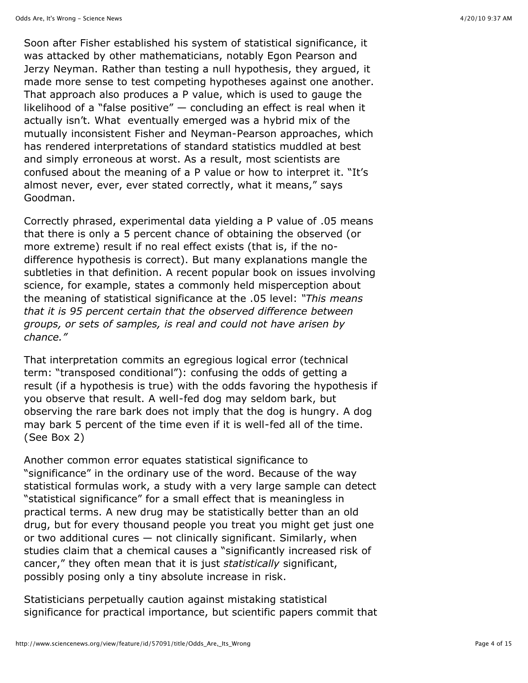Soon after Fisher established his system of statistical significance, it was attacked by other mathematicians, notably Egon Pearson and Jerzy Neyman. Rather than testing a null hypothesis, they argued, it made more sense to test competing hypotheses against one another. That approach also produces a P value, which is used to gauge the likelihood of a "false positive" — concluding an effect is real when it actually isn't. What eventually emerged was a hybrid mix of the mutually inconsistent Fisher and Neyman-Pearson approaches, which has rendered interpretations of standard statistics muddled at best and simply erroneous at worst. As a result, most scientists are confused about the meaning of a P value or how to interpret it. "It's almost never, ever, ever stated correctly, what it means," says Goodman.

Correctly phrased, experimental data yielding a P value of .05 means that there is only a 5 percent chance of obtaining the observed (or more extreme) result if no real effect exists (that is, if the nodifference hypothesis is correct). But many explanations mangle the subtleties in that definition. A recent popular book on issues involving science, for example, states a commonly held misperception about the meaning of statistical significance at the .05 level: *"This means that it is 95 percent certain that the observed difference between groups, or sets of samples, is real and could not have arisen by chance."*

That interpretation commits an egregious logical error (technical term: "transposed conditional"): confusing the odds of getting a result (if a hypothesis is true) with the odds favoring the hypothesis if you observe that result. A well-fed dog may seldom bark, but observing the rare bark does not imply that the dog is hungry. A dog may bark 5 percent of the time even if it is well-fed all of the time. ([See Box 2\)](http://www.sciencenews.org/view/feature/id/57091/title/Odds_Are,_Its_Wrong#box2)

Another common error equates statistical significance to "significance" in the ordinary use of the word. Because of the way statistical formulas work, a study with a very large sample can detect "statistical significance" for a small effect that is meaningless in practical terms. A new drug may be statistically better than an old drug, but for every thousand people you treat you might get just one or two additional cures — not clinically significant. Similarly, when studies claim that a chemical causes a "significantly increased risk of cancer," they often mean that it is just *statistically* significant, possibly posing only a tiny absolute increase in risk.

Statisticians perpetually caution against mistaking statistical significance for practical importance, but scientific papers commit that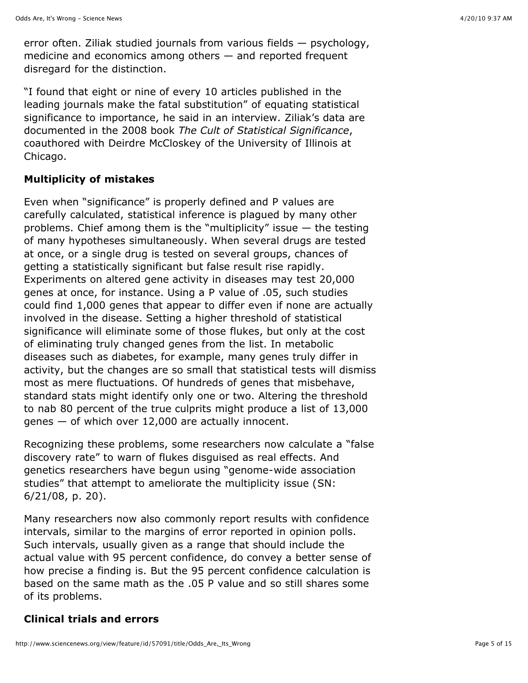error often. Ziliak studied journals from various fields — psychology, medicine and economics among others — and reported frequent disregard for the distinction.

"I found that eight or nine of every 10 articles published in the leading journals make the fatal substitution" of equating statistical significance to importance, he said in an interview. Ziliak's data are documented in the 2008 book *The Cult of Statistical Significance*, coauthored with Deirdre McCloskey of the University of Illinois at Chicago.

## **Multiplicity of mistakes**

Even when "significance" is properly defined and P values are carefully calculated, statistical inference is plagued by many other problems. Chief among them is the "multiplicity" issue — the testing of many hypotheses simultaneously. When several drugs are tested at once, or a single drug is tested on several groups, chances of getting a statistically significant but false result rise rapidly. Experiments on altered gene activity in diseases may test 20,000 genes at once, for instance. Using a P value of .05, such studies could find 1,000 genes that appear to differ even if none are actually involved in the disease. Setting a higher threshold of statistical significance will eliminate some of those flukes, but only at the cost of eliminating truly changed genes from the list. In metabolic diseases such as diabetes, for example, many genes truly differ in activity, but the changes are so small that statistical tests will dismiss most as mere fluctuations. Of hundreds of genes that misbehave, standard stats might identify only one or two. Altering the threshold to nab 80 percent of the true culprits might produce a list of 13,000 genes — of which over 12,000 are actually innocent.

Recognizing these problems, some researchers now calculate a "false discovery rate" to warn of flukes disguised as real effects. And genetics researchers have begun using "genome-wide association [studies" that attempt to ameliorate the multiplicity issue \(SN:](http://www.sciencenews.org/view/feature/id/32943/title/Nabbing_suspicious_SNPs) 6/21/08, p. 20).

Many researchers now also commonly report results with confidence intervals, similar to the margins of error reported in opinion polls. Such intervals, usually given as a range that should include the actual value with 95 percent confidence, do convey a better sense of how precise a finding is. But the 95 percent confidence calculation is based on the same math as the .05 P value and so still shares some of its problems.

## **Clinical trials and errors**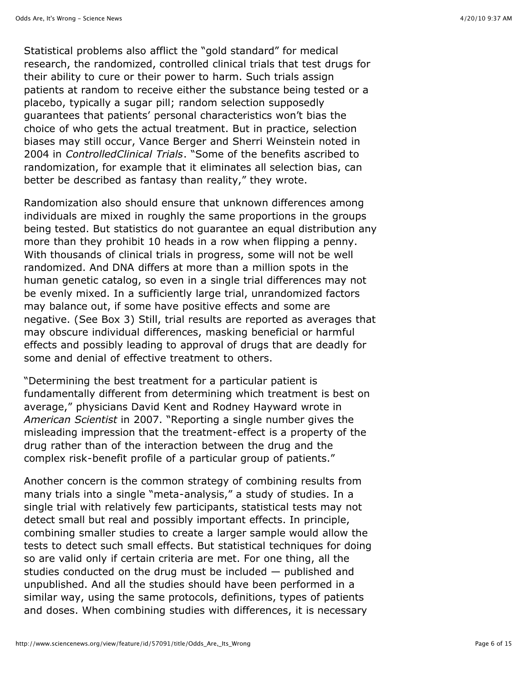Statistical problems also afflict the "gold standard" for medical research, the randomized, controlled clinical trials that test drugs for their ability to cure or their power to harm. Such trials assign patients at random to receive either the substance being tested or a placebo, typically a sugar pill; random selection supposedly guarantees that patients' personal characteristics won't bias the choice of who gets the actual treatment. But in practice, selection biases may still occur, Vance Berger and Sherri Weinstein noted in 2004 in *ControlledClinical Trials*. "Some of the benefits ascribed to randomization, for example that it eliminates all selection bias, can better be described as fantasy than reality," they wrote.

Randomization also should ensure that unknown differences among individuals are mixed in roughly the same proportions in the groups being tested. But statistics do not guarantee an equal distribution any more than they prohibit 10 heads in a row when flipping a penny. With thousands of clinical trials in progress, some will not be well randomized. And DNA differs at more than a million spots in the human genetic catalog, so even in a single trial differences may not be evenly mixed. In a sufficiently large trial, unrandomized factors may balance out, if some have positive effects and some are negative. ([See Box 3](http://www.sciencenews.org/view/feature/id/57091/title/Odds_Are,_Its_Wrong#box3)) Still, trial results are reported as averages that may obscure individual differences, masking beneficial or harmful effects and possibly leading to approval of drugs that are deadly for some and denial of effective treatment to others.

"Determining the best treatment for a particular patient is fundamentally different from determining which treatment is best on average," physicians David Kent and Rodney Hayward wrote in *American Scientist* in 2007. "Reporting a single number gives the misleading impression that the treatment-effect is a property of the drug rather than of the interaction between the drug and the complex risk-benefit profile of a particular group of patients."

Another concern is the common strategy of combining results from many trials into a single "meta-analysis," a study of studies. In a single trial with relatively few participants, statistical tests may not detect small but real and possibly important effects. In principle, combining smaller studies to create a larger sample would allow the tests to detect such small effects. But statistical techniques for doing so are valid only if certain criteria are met. For one thing, all the studies conducted on the drug must be included — published and unpublished. And all the studies should have been performed in a similar way, using the same protocols, definitions, types of patients and doses. When combining studies with differences, it is necessary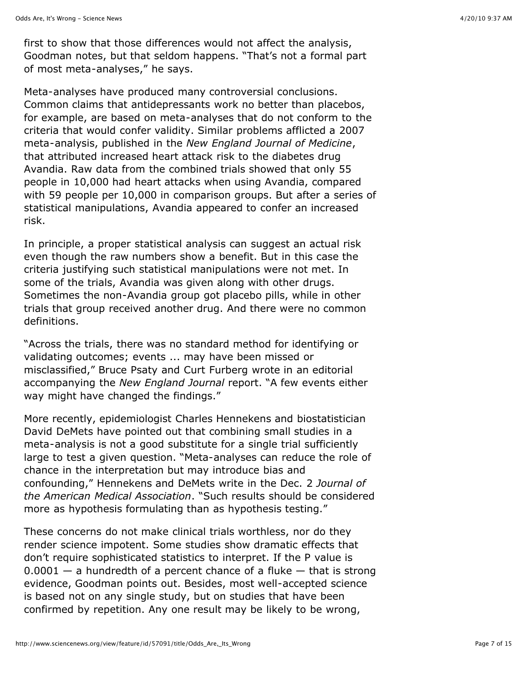first to show that those differences would not affect the analysis, Goodman notes, but that seldom happens. "That's not a formal part of most meta-analyses," he says.

Meta-analyses have produced many controversial conclusions. Common claims that antidepressants work no better than placebos, for example, are based on meta-analyses that do not conform to the criteria that would confer validity. Similar problems afflicted a 2007 meta-analysis, published in the *New England Journal of Medicine*, that attributed increased heart attack risk to the diabetes drug Avandia. Raw data from the combined trials showed that only 55 people in 10,000 had heart attacks when using Avandia, compared with 59 people per 10,000 in comparison groups. But after a series of statistical manipulations, Avandia appeared to confer an increased risk.

In principle, a proper statistical analysis can suggest an actual risk even though the raw numbers show a benefit. But in this case the criteria justifying such statistical manipulations were not met. In some of the trials, Avandia was given along with other drugs. Sometimes the non-Avandia group got placebo pills, while in other trials that group received another drug. And there were no common definitions.

"Across the trials, there was no standard method for identifying or validating outcomes; events ... may have been missed or misclassified," Bruce Psaty and Curt Furberg wrote in an editorial accompanying the *New England Journal* report. "A few events either way might have changed the findings."

More recently, epidemiologist Charles Hennekens and biostatistician David DeMets have pointed out that combining small studies in a meta-analysis is not a good substitute for a single trial sufficiently large to test a given question. "Meta-analyses can reduce the role of chance in the interpretation but may introduce bias and confounding," Hennekens and DeMets write in the Dec. 2 *Journal of the American Medical Association*. "Such results should be considered more as hypothesis formulating than as hypothesis testing."

These concerns do not make clinical trials worthless, nor do they render science impotent. Some studies show dramatic effects that don't require sophisticated statistics to interpret. If the P value is  $0.0001 - a$  hundredth of a percent chance of a fluke  $-$  that is strong evidence, Goodman points out. Besides, most well-accepted science is based not on any single study, but on studies that have been confirmed by repetition. Any one result may be likely to be wrong,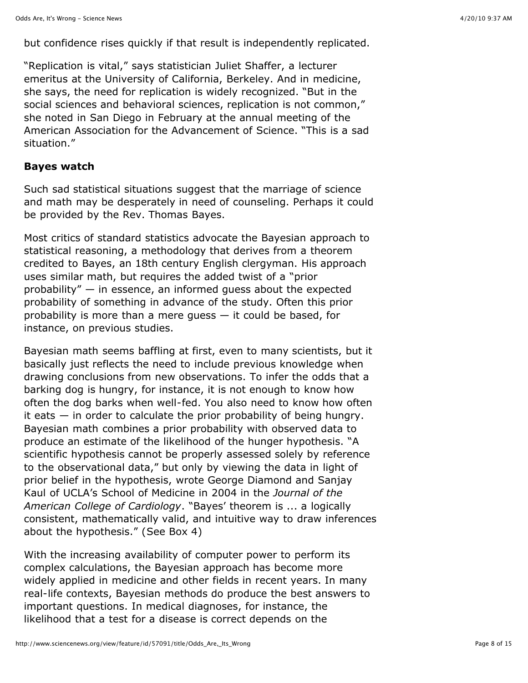but confidence rises quickly if that result is independently replicated.

"Replication is vital," says statistician Juliet Shaffer, a lecturer emeritus at the University of California, Berkeley. And in medicine, she says, the need for replication is widely recognized. "But in the social sciences and behavioral sciences, replication is not common," she noted in San Diego in February at the annual meeting of the American Association for the Advancement of Science. "This is a sad situation."

#### **Bayes watch**

Such sad statistical situations suggest that the marriage of science and math may be desperately in need of counseling. Perhaps it could be provided by the Rev. Thomas Bayes.

Most critics of standard statistics advocate the Bayesian approach to statistical reasoning, a methodology that derives from a theorem credited to Bayes, an 18th century English clergyman. His approach uses similar math, but requires the added twist of a "prior probability" — in essence, an informed guess about the expected probability of something in advance of the study. Often this prior probability is more than a mere guess — it could be based, for instance, on previous studies.

Bayesian math seems baffling at first, even to many scientists, but it basically just reflects the need to include previous knowledge when drawing conclusions from new observations. To infer the odds that a barking dog is hungry, for instance, it is not enough to know how often the dog barks when well-fed. You also need to know how often it eats — in order to calculate the prior probability of being hungry. Bayesian math combines a prior probability with observed data to produce an estimate of the likelihood of the hunger hypothesis. "A scientific hypothesis cannot be properly assessed solely by reference to the observational data," but only by viewing the data in light of prior belief in the hypothesis, wrote George Diamond and Sanjay Kaul of UCLA's School of Medicine in 2004 in the *Journal of the American College of Cardiology*. "Bayes' theorem is ... a logically consistent, mathematically valid, and intuitive way to draw inferences about the hypothesis." ([See Box 4](http://www.sciencenews.org/view/feature/id/57091/title/Odds_Are,_Its_Wrong#box4))

With the increasing availability of computer power to perform its complex calculations, the Bayesian approach has become more widely applied in medicine and other fields in recent years. In many real-life contexts, Bayesian methods do produce the best answers to important questions. In medical diagnoses, for instance, the likelihood that a test for a disease is correct depends on the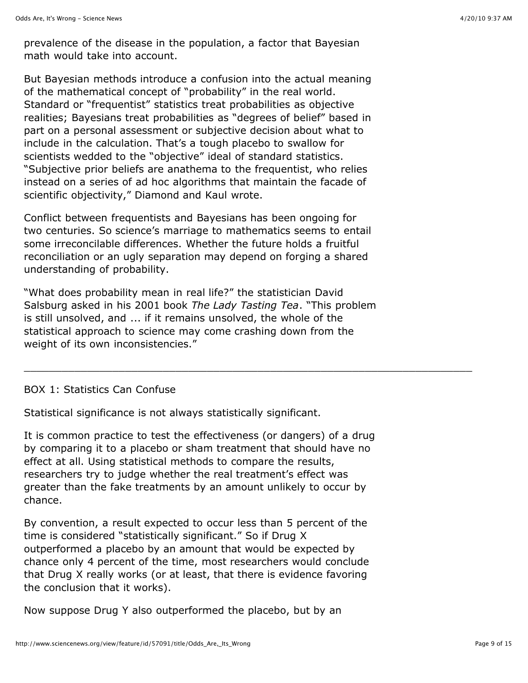prevalence of the disease in the population, a factor that Bayesian math would take into account.

But Bayesian methods introduce a confusion into the actual meaning of the mathematical concept of "probability" in the real world. Standard or "frequentist" statistics treat probabilities as objective realities; Bayesians treat probabilities as "degrees of belief" based in part on a personal assessment or subjective decision about what to include in the calculation. That's a tough placebo to swallow for scientists wedded to the "objective" ideal of standard statistics. "Subjective prior beliefs are anathema to the frequentist, who relies instead on a series of ad hoc algorithms that maintain the facade of scientific objectivity," Diamond and Kaul wrote.

Conflict between frequentists and Bayesians has been ongoing for two centuries. So science's marriage to mathematics seems to entail some irreconcilable differences. Whether the future holds a fruitful reconciliation or an ugly separation may depend on forging a shared understanding of probability.

"What does probability mean in real life?" the statistician David Salsburg asked in his 2001 book *The Lady Tasting Tea*. "This problem is still unsolved, and ... if it remains unsolved, the whole of the statistical approach to science may come crashing down from the weight of its own inconsistencies."

\_\_\_\_\_\_\_\_\_\_\_\_\_\_\_\_\_\_\_\_\_\_\_\_\_\_\_\_\_\_\_\_\_\_\_\_\_\_\_\_\_\_\_\_\_\_\_\_\_\_\_\_\_\_\_\_\_\_\_\_\_\_\_\_\_\_\_\_\_\_\_

## BOX 1: Statistics Can Confuse

Statistical significance is not always statistically significant.

It is common practice to test the effectiveness (or dangers) of a drug by comparing it to a placebo or sham treatment that should have no effect at all. Using statistical methods to compare the results, researchers try to judge whether the real treatment's effect was greater than the fake treatments by an amount unlikely to occur by chance.

By convention, a result expected to occur less than 5 percent of the time is considered "statistically significant." So if Drug X outperformed a placebo by an amount that would be expected by chance only 4 percent of the time, most researchers would conclude that Drug X really works (or at least, that there is evidence favoring the conclusion that it works).

Now suppose Drug Y also outperformed the placebo, but by an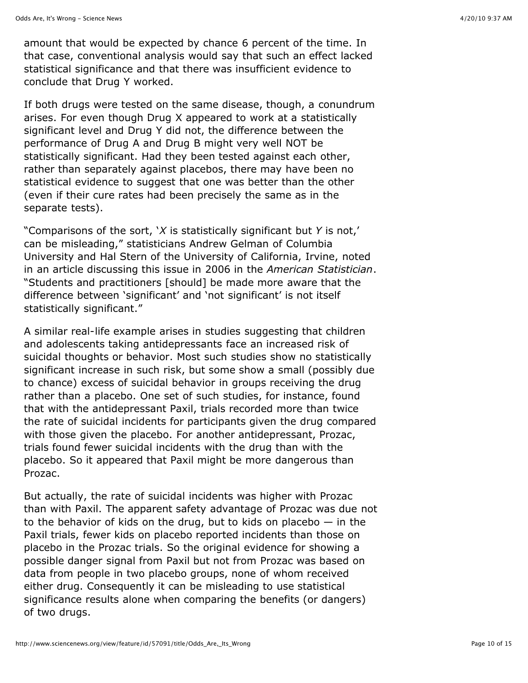amount that would be expected by chance 6 percent of the time. In that case, conventional analysis would say that such an effect lacked statistical significance and that there was insufficient evidence to conclude that Drug Y worked.

If both drugs were tested on the same disease, though, a conundrum arises. For even though Drug X appeared to work at a statistically significant level and Drug Y did not, the difference between the performance of Drug A and Drug B might very well NOT be statistically significant. Had they been tested against each other, rather than separately against placebos, there may have been no statistical evidence to suggest that one was better than the other (even if their cure rates had been precisely the same as in the separate tests).

"Comparisons of the sort, '*X* is statistically significant but *Y* is not,' can be misleading," statisticians Andrew Gelman of Columbia University and Hal Stern of the University of California, Irvine, noted in an article discussing this issue in 2006 in the *American Statistician*. "Students and practitioners [should] be made more aware that the difference between 'significant' and 'not significant' is not itself statistically significant."

A similar real-life example arises in studies suggesting that children and adolescents taking antidepressants face an increased risk of suicidal thoughts or behavior. Most such studies show no statistically significant increase in such risk, but some show a small (possibly due to chance) excess of suicidal behavior in groups receiving the drug rather than a placebo. One set of such studies, for instance, found that with the antidepressant Paxil, trials recorded more than twice the rate of suicidal incidents for participants given the drug compared with those given the placebo. For another antidepressant, Prozac, trials found fewer suicidal incidents with the drug than with the placebo. So it appeared that Paxil might be more dangerous than Prozac.

But actually, the rate of suicidal incidents was higher with Prozac than with Paxil. The apparent safety advantage of Prozac was due not to the behavior of kids on the drug, but to kids on placebo  $-$  in the Paxil trials, fewer kids on placebo reported incidents than those on placebo in the Prozac trials. So the original evidence for showing a possible danger signal from Paxil but not from Prozac was based on data from people in two placebo groups, none of whom received either drug. Consequently it can be misleading to use statistical significance results alone when comparing the benefits (or dangers) of two drugs.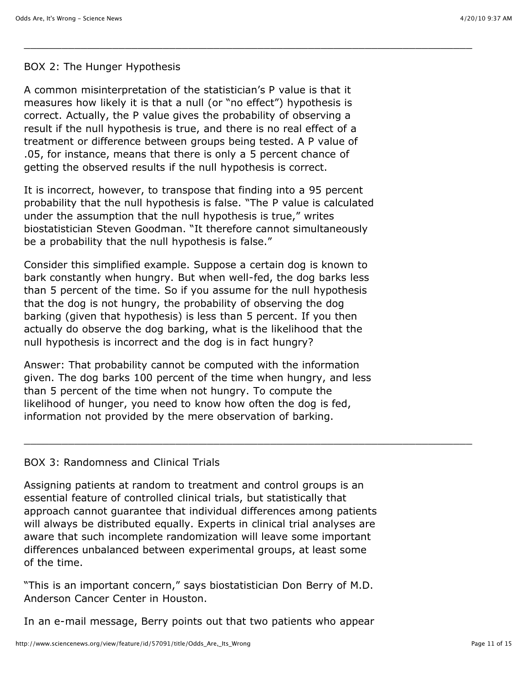## BOX 2: The Hunger Hypothesis

A common misinterpretation of the statistician's P value is that it measures how likely it is that a null (or "no effect") hypothesis is correct. Actually, the P value gives the probability of observing a result if the null hypothesis is true, and there is no real effect of a treatment or difference between groups being tested. A P value of .05, for instance, means that there is only a 5 percent chance of getting the observed results if the null hypothesis is correct.

\_\_\_\_\_\_\_\_\_\_\_\_\_\_\_\_\_\_\_\_\_\_\_\_\_\_\_\_\_\_\_\_\_\_\_\_\_\_\_\_\_\_\_\_\_\_\_\_\_\_\_\_\_\_\_\_\_\_\_\_\_\_\_\_\_\_\_\_\_\_\_

It is incorrect, however, to transpose that finding into a 95 percent probability that the null hypothesis is false. "The P value is calculated under the assumption that the null hypothesis is true," writes biostatistician Steven Goodman. "It therefore cannot simultaneously be a probability that the null hypothesis is false."

Consider this simplified example. Suppose a certain dog is known to bark constantly when hungry. But when well-fed, the dog barks less than 5 percent of the time. So if you assume for the null hypothesis that the dog is not hungry, the probability of observing the dog barking (given that hypothesis) is less than 5 percent. If you then actually do observe the dog barking, what is the likelihood that the null hypothesis is incorrect and the dog is in fact hungry?

Answer: That probability cannot be computed with the information given. The dog barks 100 percent of the time when hungry, and less than 5 percent of the time when not hungry. To compute the likelihood of hunger, you need to know how often the dog is fed, information not provided by the mere observation of barking.

\_\_\_\_\_\_\_\_\_\_\_\_\_\_\_\_\_\_\_\_\_\_\_\_\_\_\_\_\_\_\_\_\_\_\_\_\_\_\_\_\_\_\_\_\_\_\_\_\_\_\_\_\_\_\_\_\_\_\_\_\_\_\_\_\_\_\_\_\_\_\_

## BOX 3: Randomness and Clinical Trials

Assigning patients at random to treatment and control groups is an essential feature of controlled clinical trials, but statistically that approach cannot guarantee that individual differences among patients will always be distributed equally. Experts in clinical trial analyses are aware that such incomplete randomization will leave some important differences unbalanced between experimental groups, at least some of the time.

"This is an important concern," says biostatistician Don Berry of M.D. Anderson Cancer Center in Houston.

In an e-mail message, Berry points out that two patients who appear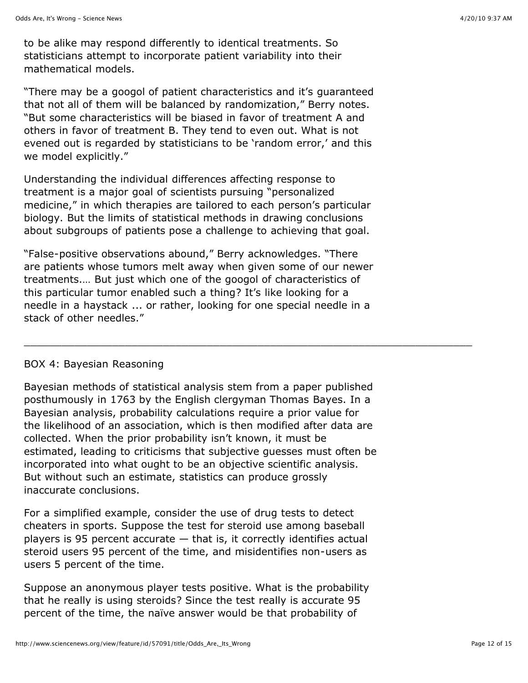to be alike may respond differently to identical treatments. So statisticians attempt to incorporate patient variability into their mathematical models.

"There may be a googol of patient characteristics and it's guaranteed that not all of them will be balanced by randomization," Berry notes. "But some characteristics will be biased in favor of treatment A and others in favor of treatment B. They tend to even out. What is not evened out is regarded by statisticians to be 'random error,' and this we model explicitly."

Understanding the individual differences affecting response to treatment is a major goal of scientists pursuing "personalized medicine," in which therapies are tailored to each person's particular biology. But the limits of statistical methods in drawing conclusions about subgroups of patients pose a challenge to achieving that goal.

"False-positive observations abound," Berry acknowledges. "There are patients whose tumors melt away when given some of our newer treatments.… But just which one of the googol of characteristics of this particular tumor enabled such a thing? It's like looking for a needle in a haystack ... or rather, looking for one special needle in a stack of other needles."

\_\_\_\_\_\_\_\_\_\_\_\_\_\_\_\_\_\_\_\_\_\_\_\_\_\_\_\_\_\_\_\_\_\_\_\_\_\_\_\_\_\_\_\_\_\_\_\_\_\_\_\_\_\_\_\_\_\_\_\_\_\_\_\_\_\_\_\_\_\_\_

#### BOX 4: Bayesian Reasoning

Bayesian methods of statistical analysis stem from a paper published posthumously in 1763 by the English clergyman Thomas Bayes. In a Bayesian analysis, probability calculations require a prior value for the likelihood of an association, which is then modified after data are collected. When the prior probability isn't known, it must be estimated, leading to criticisms that subjective guesses must often be incorporated into what ought to be an objective scientific analysis. But without such an estimate, statistics can produce grossly inaccurate conclusions.

For a simplified example, consider the use of drug tests to detect cheaters in sports. Suppose the test for steroid use among baseball players is 95 percent accurate  $-$  that is, it correctly identifies actual steroid users 95 percent of the time, and misidentifies non-users as users 5 percent of the time.

Suppose an anonymous player tests positive. What is the probability that he really is using steroids? Since the test really is accurate 95 percent of the time, the naïve answer would be that probability of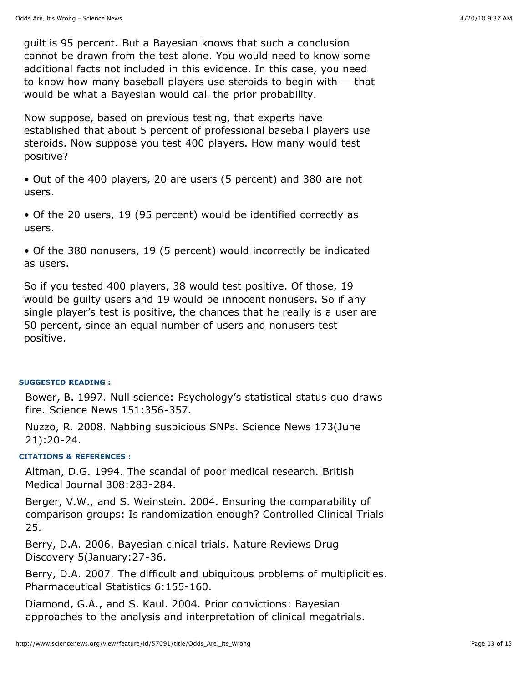guilt is 95 percent. But a Bayesian knows that such a conclusion cannot be drawn from the test alone. You would need to know some additional facts not included in this evidence. In this case, you need to know how many baseball players use steroids to begin with — that would be what a Bayesian would call the prior probability.

Now suppose, based on previous testing, that experts have established that about 5 percent of professional baseball players use steroids. Now suppose you test 400 players. How many would test positive?

• Out of the 400 players, 20 are users (5 percent) and 380 are not users.

• Of the 20 users, 19 (95 percent) would be identified correctly as users.

• Of the 380 nonusers, 19 (5 percent) would incorrectly be indicated as users.

So if you tested 400 players, 38 would test positive. Of those, 19 would be guilty users and 19 would be innocent nonusers. So if any single player's test is positive, the chances that he really is a user are 50 percent, since an equal number of users and nonusers test positive.

#### **SUGGESTED READING :**

Bower, B. 1997. Null science: Psychology's statistical status quo draws fire. Science News 151:356-357.

Nuzzo, R. 2008. Nabbing suspicious SNPs. Science News 173(June 21):20-24.

#### **CITATIONS & REFERENCES :**

Altman, D.G. 1994. The scandal of poor medical research. British Medical Journal 308:283-284.

Berger, V.W., and S. Weinstein. 2004. Ensuring the comparability of comparison groups: Is randomization enough? Controlled Clinical Trials 25.

Berry, D.A. 2006. Bayesian cinical trials. Nature Reviews Drug Discovery 5(January:27-36.

Berry, D.A. 2007. The difficult and ubiquitous problems of multiplicities. Pharmaceutical Statistics 6:155-160.

Diamond, G.A., and S. Kaul. 2004. Prior convictions: Bayesian approaches to the analysis and interpretation of clinical megatrials.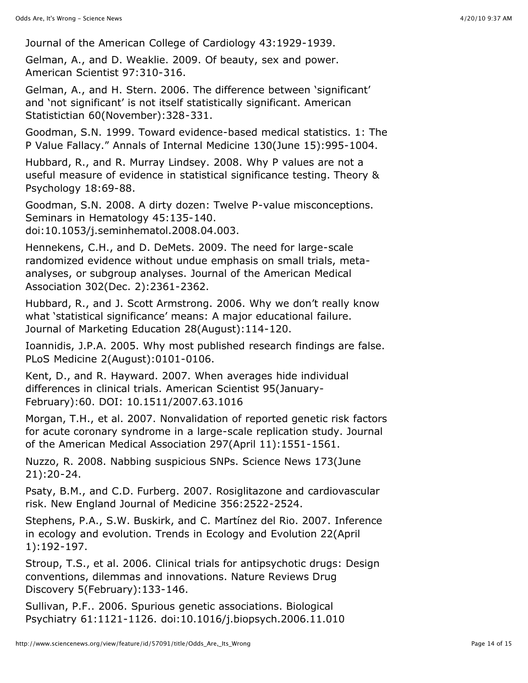Journal of the American College of Cardiology 43:1929-1939.

Gelman, A., and D. Weaklie. 2009. Of beauty, sex and power. American Scientist 97:310-316.

Gelman, A., and H. Stern. 2006. The difference between 'significant' and 'not significant' is not itself statistically significant. American Statistictian 60(November):328-331.

Goodman, S.N. 1999. Toward evidence-based medical statistics. 1: The P Value Fallacy." Annals of Internal Medicine 130(June 15):995-1004.

Hubbard, R., and R. Murray Lindsey. 2008. Why P values are not a useful measure of evidence in statistical significance testing. Theory & Psychology 18:69-88.

Goodman, S.N. 2008. A dirty dozen: Twelve P-value misconceptions. Seminars in Hematology 45:135-140. doi:10.1053/j.seminhematol.2008.04.003.

Hennekens, C.H., and D. DeMets. 2009. The need for large-scale randomized evidence without undue emphasis on small trials, metaanalyses, or subgroup analyses. Journal of the American Medical Association 302(Dec. 2):2361-2362.

Hubbard, R., and J. Scott Armstrong. 2006. Why we don't really know what 'statistical significance' means: A major educational failure. Journal of Marketing Education 28(August):114-120.

Ioannidis, J.P.A. 2005. Why most published research findings are false. PLoS Medicine 2(August):0101-0106.

Kent, D., and R. Hayward. 2007. When averages hide individual differences in clinical trials. American Scientist 95(January-February):60. DOI: 10.1511/2007.63.1016

Morgan, T.H., et al. 2007. Nonvalidation of reported genetic risk factors for acute coronary syndrome in a large-scale replication study. Journal of the American Medical Association 297(April 11):1551-1561.

Nuzzo, R. 2008. Nabbing suspicious SNPs. Science News 173(June 21):20-24.

Psaty, B.M., and C.D. Furberg. 2007. Rosiglitazone and cardiovascular risk. New England Journal of Medicine 356:2522-2524.

Stephens, P.A., S.W. Buskirk, and C. Martínez del Rio. 2007. Inference in ecology and evolution. Trends in Ecology and Evolution 22(April 1):192-197.

Stroup, T.S., et al. 2006. Clinical trials for antipsychotic drugs: Design conventions, dilemmas and innovations. Nature Reviews Drug Discovery 5(February):133-146.

Sullivan, P.F.. 2006. Spurious genetic associations. Biological Psychiatry 61:1121-1126. doi:10.1016/j.biopsych.2006.11.010